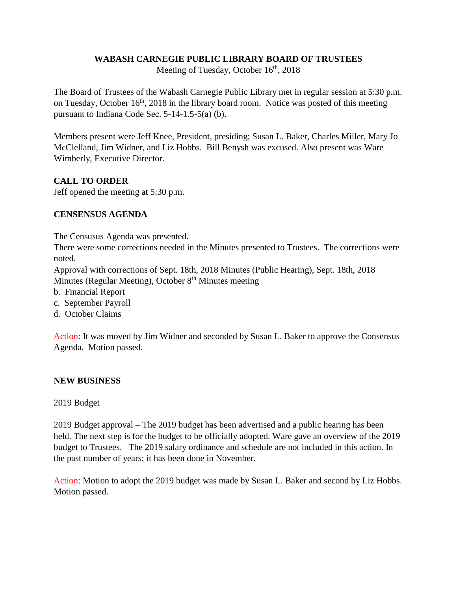### **WABASH CARNEGIE PUBLIC LIBRARY BOARD OF TRUSTEES**

Meeting of Tuesday, October  $16<sup>th</sup>$ , 2018

The Board of Trustees of the Wabash Carnegie Public Library met in regular session at 5:30 p.m. on Tuesday, October  $16<sup>th</sup>$ , 2018 in the library board room. Notice was posted of this meeting pursuant to Indiana Code Sec. 5-14-1.5-5(a) (b).

Members present were Jeff Knee, President, presiding; Susan L. Baker, Charles Miller, Mary Jo McClelland, Jim Widner, and Liz Hobbs. Bill Benysh was excused. Also present was Ware Wimberly, Executive Director.

# **CALL TO ORDER**

Jeff opened the meeting at 5:30 p.m.

# **CENSENSUS AGENDA**

The Censusus Agenda was presented.

There were some corrections needed in the Minutes presented to Trustees. The corrections were noted.

Approval with corrections of Sept. 18th, 2018 Minutes (Public Hearing), Sept. 18th, 2018 Minutes (Regular Meeting), October  $8<sup>th</sup>$  Minutes meeting

- b. Financial Report
- c. September Payroll
- d. October Claims

Action: It was moved by Jim Widner and seconded by Susan L. Baker to approve the Consensus Agenda. Motion passed.

# **NEW BUSINESS**

#### 2019 Budget

2019 Budget approval – The 2019 budget has been advertised and a public hearing has been held. The next step is for the budget to be officially adopted. Ware gave an overview of the 2019 budget to Trustees. The 2019 salary ordinance and schedule are not included in this action. In the past number of years; it has been done in November.

Action: Motion to adopt the 2019 budget was made by Susan L. Baker and second by Liz Hobbs. Motion passed.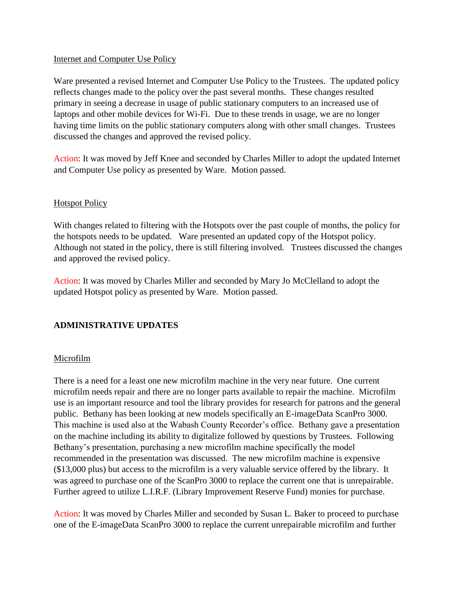### Internet and Computer Use Policy

Ware presented a revised Internet and Computer Use Policy to the Trustees. The updated policy reflects changes made to the policy over the past several months. These changes resulted primary in seeing a decrease in usage of public stationary computers to an increased use of laptops and other mobile devices for Wi-Fi. Due to these trends in usage, we are no longer having time limits on the public stationary computers along with other small changes. Trustees discussed the changes and approved the revised policy.

Action: It was moved by Jeff Knee and seconded by Charles Miller to adopt the updated Internet and Computer Use policy as presented by Ware. Motion passed.

### Hotspot Policy

With changes related to filtering with the Hotspots over the past couple of months, the policy for the hotspots needs to be updated. Ware presented an updated copy of the Hotspot policy. Although not stated in the policy, there is still filtering involved. Trustees discussed the changes and approved the revised policy.

Action: It was moved by Charles Miller and seconded by Mary Jo McClelland to adopt the updated Hotspot policy as presented by Ware. Motion passed.

# **ADMINISTRATIVE UPDATES**

#### Microfilm

There is a need for a least one new microfilm machine in the very near future. One current microfilm needs repair and there are no longer parts available to repair the machine. Microfilm use is an important resource and tool the library provides for research for patrons and the general public. Bethany has been looking at new models specifically an E-imageData ScanPro 3000. This machine is used also at the Wabash County Recorder's office. Bethany gave a presentation on the machine including its ability to digitalize followed by questions by Trustees. Following Bethany's presentation, purchasing a new microfilm machine specifically the model recommended in the presentation was discussed. The new microfilm machine is expensive (\$13,000 plus) but access to the microfilm is a very valuable service offered by the library. It was agreed to purchase one of the ScanPro 3000 to replace the current one that is unrepairable. Further agreed to utilize L.I.R.F. (Library Improvement Reserve Fund) monies for purchase.

Action: It was moved by Charles Miller and seconded by Susan L. Baker to proceed to purchase one of the E-imageData ScanPro 3000 to replace the current unrepairable microfilm and further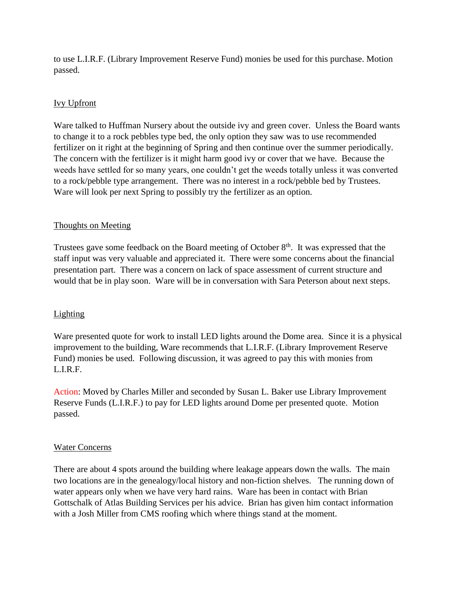to use L.I.R.F. (Library Improvement Reserve Fund) monies be used for this purchase. Motion passed.

# Ivy Upfront

Ware talked to Huffman Nursery about the outside ivy and green cover. Unless the Board wants to change it to a rock pebbles type bed, the only option they saw was to use recommended fertilizer on it right at the beginning of Spring and then continue over the summer periodically. The concern with the fertilizer is it might harm good ivy or cover that we have. Because the weeds have settled for so many years, one couldn't get the weeds totally unless it was converted to a rock/pebble type arrangement. There was no interest in a rock/pebble bed by Trustees. Ware will look per next Spring to possibly try the fertilizer as an option.

# Thoughts on Meeting

Trustees gave some feedback on the Board meeting of October 8<sup>th</sup>. It was expressed that the staff input was very valuable and appreciated it. There were some concerns about the financial presentation part. There was a concern on lack of space assessment of current structure and would that be in play soon. Ware will be in conversation with Sara Peterson about next steps.

# Lighting

Ware presented quote for work to install LED lights around the Dome area. Since it is a physical improvement to the building, Ware recommends that L.I.R.F. (Library Improvement Reserve Fund) monies be used. Following discussion, it was agreed to pay this with monies from L.I.R.F.

Action: Moved by Charles Miller and seconded by Susan L. Baker use Library Improvement Reserve Funds (L.I.R.F.) to pay for LED lights around Dome per presented quote. Motion passed.

# Water Concerns

There are about 4 spots around the building where leakage appears down the walls. The main two locations are in the genealogy/local history and non-fiction shelves. The running down of water appears only when we have very hard rains. Ware has been in contact with Brian Gottschalk of Atlas Building Services per his advice. Brian has given him contact information with a Josh Miller from CMS roofing which where things stand at the moment.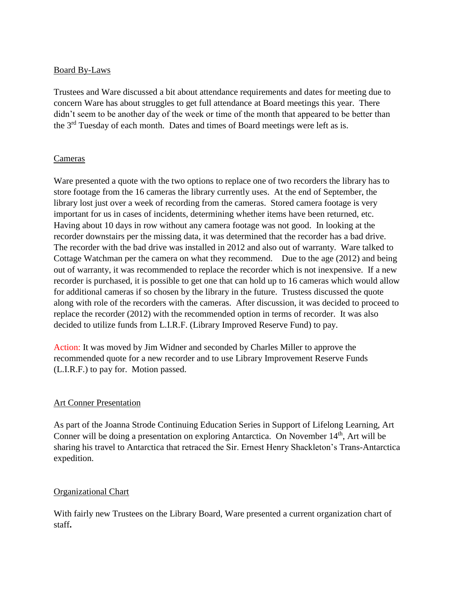### Board By-Laws

Trustees and Ware discussed a bit about attendance requirements and dates for meeting due to concern Ware has about struggles to get full attendance at Board meetings this year. There didn't seem to be another day of the week or time of the month that appeared to be better than the  $3<sup>rd</sup>$  Tuesday of each month. Dates and times of Board meetings were left as is.

### Cameras

Ware presented a quote with the two options to replace one of two recorders the library has to store footage from the 16 cameras the library currently uses. At the end of September, the library lost just over a week of recording from the cameras. Stored camera footage is very important for us in cases of incidents, determining whether items have been returned, etc. Having about 10 days in row without any camera footage was not good. In looking at the recorder downstairs per the missing data, it was determined that the recorder has a bad drive. The recorder with the bad drive was installed in 2012 and also out of warranty. Ware talked to Cottage Watchman per the camera on what they recommend. Due to the age (2012) and being out of warranty, it was recommended to replace the recorder which is not inexpensive. If a new recorder is purchased, it is possible to get one that can hold up to 16 cameras which would allow for additional cameras if so chosen by the library in the future. Trustess discussed the quote along with role of the recorders with the cameras. After discussion, it was decided to proceed to replace the recorder (2012) with the recommended option in terms of recorder. It was also decided to utilize funds from L.I.R.F. (Library Improved Reserve Fund) to pay.

Action: It was moved by Jim Widner and seconded by Charles Miller to approve the recommended quote for a new recorder and to use Library Improvement Reserve Funds (L.I.R.F.) to pay for. Motion passed.

#### Art Conner Presentation

As part of the Joanna Strode Continuing Education Series in Support of Lifelong Learning, Art Conner will be doing a presentation on exploring Antarctica. On November  $14<sup>th</sup>$ , Art will be sharing his travel to Antarctica that retraced the Sir. Ernest Henry Shackleton's Trans-Antarctica expedition.

# Organizational Chart

With fairly new Trustees on the Library Board, Ware presented a current organization chart of staff**.**